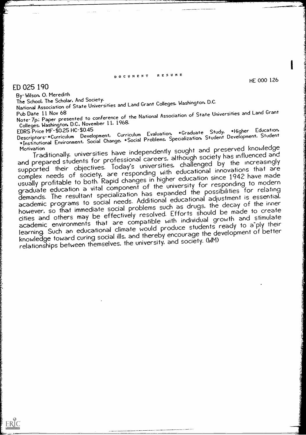## DOCUMENT RESUME

## ED 025 190

ERIC

By-Wilson, O. Meredith<br>The School, The Scholar, And Society. The School, The Scholar, And Society. National Association of State Universities and Land Grant Colleges. Washington, D.C.

Pub Date 11 Nov 68 Note- 7p.; Paper presented to conference of the National Association of State Universities and Land Grant Colleges, Washington, D.C., November 11. 1968.<br>EDRS Price MF-\$0.25 HC-\$0.45

Descriptors-\*Curriculum Development, Curriculum Evaluation, EDRS Price MF-\$0.25 HC-\$0.45<br>Descriptors-\*Curriculum Development, Curriculum Evaluation, \*Graduate Student Development, Student -The Fourniculum Development, Curriculum Evaluation, Foraduard Broey.<br>"Escriptors-\*Curriculum Development, Social Change, \*Social Problems, Specialization, Student Development, Student

Motivation Traditionally, universities have independently sought and preserved knowledge and prepared students for professional careers. although society has influenced and supported their objectives. Today's universities, challenged by the increasingly complex needs of society, are responding with educational innovations that are usually profitable to both. Rapid changes in higher education since 1942 have made graduate education a vital component of the university for responding to modern demands. The resultant specialization has expanded the possibilities for relating academic programs to social needs. Additional educational adjustment is essential, however, so that immediate social problems such as drugs, the decay of the inner cities and others may be effectively resolved. Efforts should be made to create academic environments that are compatible with individual growth and stimulate learning. Such an educational climate would produce students ready to a ply their knowledge toward curing social ills, and thereby encourage the development of better relationships between themselves, the university, and society. (WM)

HE 000 126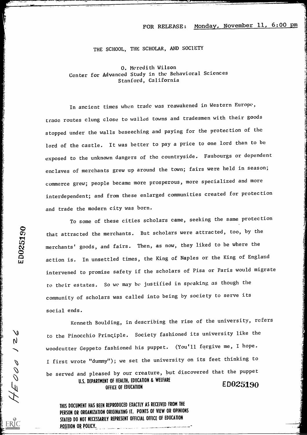## FOR RELEASE: Monday, November 11, 6:00 pm

## THE SCHOOL, THE SCHOLAR, AND SOCIETY

0. Meredith Wilson Center for Advanced Study in the Behavioral Sciences Stanford, California

In ancient times when trade was reawakened in Western Europe, traac routes clung close to wailed towns and tradesmen with their goods stopped under the walls beseeching and paying for the protection of the lord of the castle. It was better to pay a price to one lord than to be exposed to the unknown dangers of the countryside. Faubourgs or dependent enclaves of merchants grew up around the town; fairs were held in season; commerce grew; people became more prosperous, more specialized and more interdependent; and from these enlarged communities created for protection and trade the modern city was born.

To some of these cities scholars came, seeking the same protection  $\bullet$  $\widetilde{\mathcal{C}}$  that attracted the merchants. But scholars were attracted, too, by the merchants' goods, and fairs. Then, as now, they liked to be where the action is. In unsettled times, the King of Naples or the King of England intervened to promise safety if the scholars of Pisa or Paris would migrate to their estates. So we may be justified in speaking as though the community of scholars was called into being by society to serve its social ends.

Kenneth Boulding, in describing the rise of the university, refers to the Pinocchio Principle. Society fashioned its university like the woodcutter Geppeto fashioned his puppet. (You'll forgive me, I hope. I first wrote "dummy"); we set the university on its feet thinking to be served and pleased by our creature, but discovered that the puppet U.S. DEPARTMENT OF HEALTH, EDUCATION & WELFARE The UT REALITY, EUGENIUM & VELTALE  $F_{\text{D}} = 50025190$ 

THIS DOCUMENT HAS BEEN REPRODUCED EXACTLY AS RECEIVED FROM THE PERSON OR ORGANIZATION ORIGINATING IT. POINTS OF VIEW OR OPINIONS STATED DO NOT NECESSARILY REPRESENT OFFICIAL OFFICE OF EDUCATION POSITION OR POLICY.

 $\mathbf{t}$  $\mathbf{u}_1$ 

ERIC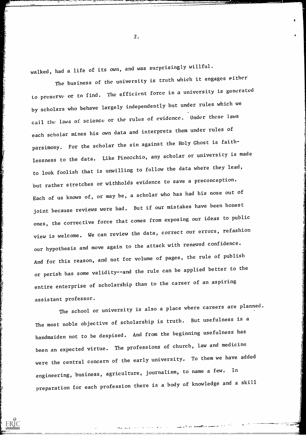walked, had a life of its own, and was surprisingly willful.

**RANGE OF** 

**Allaha** 

AND THE REPORT OF THE PARTY OF THE PARTY.

**RALL PARTHERS** 

The business of the university is truth which it engages either to preserve or to find. The efficient force in a university is generated by scholars who behave largely independently but under rules which we call the laws of science or the rules of evidence. Under these laws each scholar mines his own data and interprets them under rules of parsimony. For the scholar the sin against the Holy Ghost is faithlessness to the data. Like Pinocchio, any scholar or university is made to look foolish that is unwilling to follow the data where they lead, but rather stretches or withholds evidence to save a preconception. Each of us knows of, or may be, a scholar who has had his nose out of joint because reviews were bad. But if our mistakes have been honest ones, the corrective force that comes from exposing our ideas to public view is welcome. We can review the data, correct our errors, refashion our hypothesis and move again to the attack with renewed confidence. And for this reason, and not for volume of pages, the rule of publish or perish has some validity--and the rule can be applied better to the entire enterprise of scholarship than to the career of an aspiring assistant professor.

The school or university is also a place where careers are planned. The most noble objective of scholarship is truth. But usefulness is a handmaiden not to be despised. And from the beginning usefulness has been an expected virtue. The professions of church, law and medicine were the central concern of the early university. To them we have added engineering, business, agriculture, journalism, to name a few. In preparation for each profession there is a body of knowledge and a skill

 $2.$ 

t

4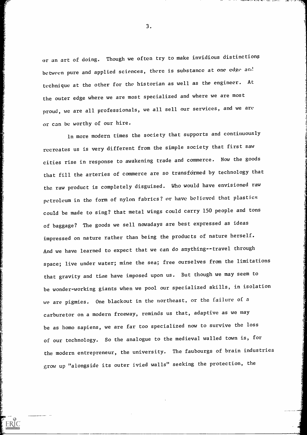or an art of doing. Though we often try to make invidious distinctions between pure and applied sciences, there is substance at one edge and technique at the other for the historian as well as the engineer. At the outer edge where we are most specialized and where we are most proud, we are all professionals, we all sell our services, and we are or can be worthy of our hire.

ln more modern times the society that supports and continuously recreates us is very different from the simple society that first saw cities rise in response to awakening trade and commerce. Now the goods that fill the arteries of commerce are so transformed by technology that the raw product is completely disguised. Who would have envisioned raw petroleum in the form of nylon fabrics? or have believed that plastics could be made to sing? that metal wings could carry 150 people and tons of baggage? The goods we sell nowadays are best expressed as ideas impressed on nature rather than being the products of nature herself. And we have learned to expect that we can do anything--travel through space; live under water; mine the sea; free ourselves from the limitations that gravity and time have imposed upon us. But though we may seem to be wonder-working giants when we pool our specialized skills, in isolation we are pigmies. One blackout in the northeast, or the failure of a carburetor on a modern freeway, reminds us that, adaptive as we may be as homo sapiens, we are far too specialized now to survive the loss of our technology. So the analogue to the medieval walled town is, for the modern entrepreneur, the university. The faubourgs of brain industries grow up "alongside its outer ivied walls" seeking the protection, the

ERIC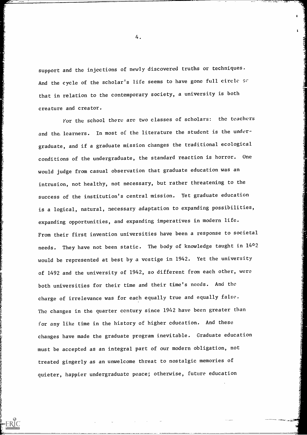support and the injections of newly discovered truths or techniques. And the cycle of the scholar's life seems to have gone full circle se that in relation to the contemporary society, a university is both creature and creator.

For the school there are two classes of scholars: the teachers and the learners. In most of the literature the student is the undergraduate, and if a graduate mission changes the traditional ecological conditions of the undergraduate, the standard reaction is horror. One would judge from casual observation that graduate education was an intrusion, not healthy, not necessary, but rather threatening to the success of the institution's central mission. Yet graduate education is a logical, natural, necessary adaptation to expanding possibilities, expanding opportunities, and expanding imperatives in modern life. From their first invention universities have been a response to societal needs. They have not been static. The body of knowledge taught in  $14^{\circ}2$ would be represented at best by a vestige in 1942. Yet the university of 1492 and the university of 1942, so different from each other, were both universities for their time and their time's needs. And the charge of irrelevance was for each equally true and equally false. The changes in the quarter century since 1942 have been greater than for any like time in the history of higher education. And these changes have made the graduate program inevitable. Graduate education must be accepted as an integral part of our modern obligation, not treated gingerly as an unwelcome threat to nostalgic memories of quieter, happier undergraduate peace; otherwise, future education

4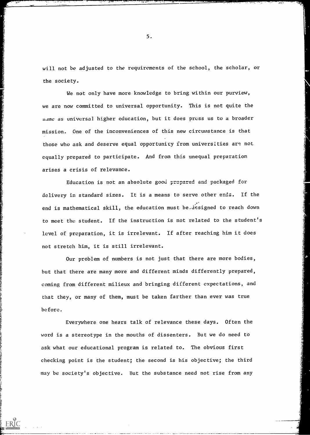will not be adjusted to the requirements of the school, the scholar, or the society.

res en seularging de les comparents de la comparació de la comparació de la compa

We not only have more knowledge to bring within our purview, we are now committed to universal opportunity. This is not quite the same as universal higher education, but it does press us to a broader mission. One of the inconveniences of this new circumstance is that those who ask and deserve equal opportunity from universities are not equally prepared to participate. And from this unequal preparation arises a crisis of relevance.

Education is not an absolute good prepared and packaged for delivery in standard sizes. It is a means to serve other ends. If the end is mathematical skill, the education must be, designed to reach down to meet the student. If the instruction is not related to the student's level of preparation, it is irrelevant. If after reaching him it does not stretch him, it is still irrelevant.

Our problem of numbers is not just that there are more bodies, but that there are many more and different minds differently prepared, coming from different milieux and bringing different expectations, and that they, or many of them, must be taken farther than ever was true before.

Everywhere one hears talk of relevance these days. Often the word is a stereotype in the mouths of dissenters. But we do need to ask what our educational program is related to. The obvious first checking point is the student; the second is his objective; the third may be society's objective. But the substance need not rise from any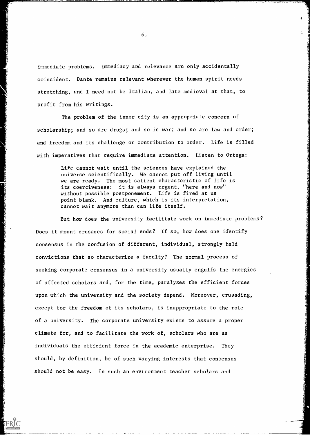immediate problems. Immediacy and relevance are only accidentally coincident. Dante remains relevant wherever the human spirit needs stretching, and I need not be Italian, and late medieval at that, to profit from his writings.

The problem of the inner city is an appropriate concern of scholarship; and so are drugs; and so is war; and so are law and order; and freedom and its challenge or contribution to order. Life is filled with imperatives that require immediate attention. Listen to Ortega:

> Life cannot wait until the sciences have explained the universe scientifically. We cannot put off living until we are ready. The most salient characteristic of life is its coerciveness: it is always urgent, "here and now" without possible postponement. Life is fired at us point blank. And culture, which is its interpretation, cannot wait anymore than can life itself.

But how does the university facilitate work on immediate problems? Does it mount crusades for social ends? If so, how does one identify consensus in the confusion of different, individual, strongly held convictions that so characterize a faculty? The normal process of seeking corporate consensus in a university usually engulfs the energies of affected scholars and, for the time, paralyzes the efficient forces upon which the university and the society depend. Moreover, crusading, except for the freedom of its scholars, is inappropriate to the role of a university. The corporate university exists to assure a proper climate for, and to facilitate the work of, scholars who are as individuals the efficient force in the academic enterprise. They should, by definition, be of such varying interests that consensus should not be easy. In such an environment teacher scholars and